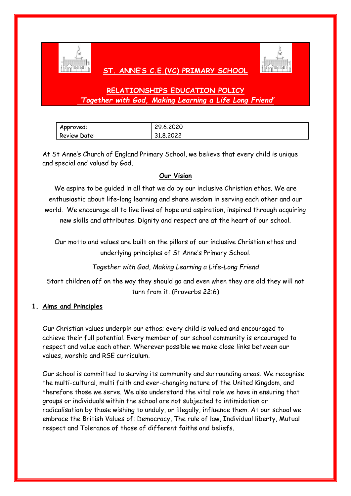

## **ST. ANNE'S C.E.(VC) PRIMARY SCHOOL**



# **RELATIONSHIPS EDUCATION POLICY** *'Together with God, Making Learning a Life Long Friend'*

| Approved:    | 29.6.2020 |
|--------------|-----------|
| Review Date: | 31.8.2022 |

At St Anne's Church of England Primary School, we believe that every child is unique and special and valued by God.

#### **Our Vision**

We aspire to be guided in all that we do by our inclusive Christian ethos. We are enthusiastic about life-long learning and share wisdom in serving each other and our world. We encourage all to live lives of hope and aspiration, inspired through acquiring new skills and attributes. Dignity and respect are at the heart of our school.

Our motto and values are built on the pillars of our inclusive Christian ethos and underlying principles of St Anne's Primary School.

*Together with God, Making Learning a Life-Long Friend*

Start children off on the way they should go and even when they are old they will not turn from it. (Proverbs 22:6)

#### **1. Aims and Principles**

Our Christian values underpin our ethos; every child is valued and encouraged to achieve their full potential. Every member of our school community is encouraged to respect and value each other. Wherever possible we make close links between our values, worship and RSE curriculum.

Our school is committed to serving its community and surrounding areas. We recognise the multi-cultural, multi faith and ever-changing nature of the United Kingdom, and therefore those we serve. We also understand the vital role we have in ensuring that groups or individuals within the school are not subjected to intimidation or radicalisation by those wishing to unduly, or illegally, influence them. At our school we embrace the British Values of: Democracy, The rule of law, Individual liberty, Mutual respect and Tolerance of those of different faiths and beliefs.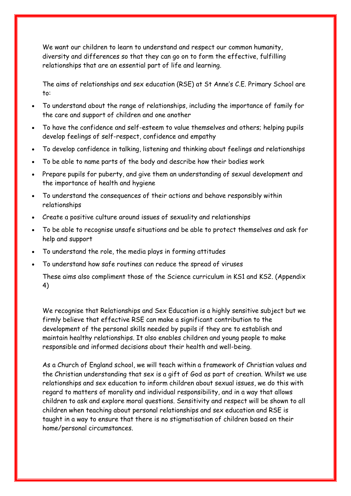We want our children to learn to understand and respect our common humanity, diversity and differences so that they can go on to form the effective, fulfilling relationships that are an essential part of life and learning.

The aims of relationships and sex education (RSE) at St Anne's C.E. Primary School are to:

- To understand about the range of relationships, including the importance of family for the care and support of children and one another
- To have the confidence and self-esteem to value themselves and others; helping pupils develop feelings of self-respect, confidence and empathy
- To develop confidence in talking, listening and thinking about feelings and relationships
- To be able to name parts of the body and describe how their bodies work
- Prepare pupils for puberty, and give them an understanding of sexual development and the importance of health and hygiene
- To understand the consequences of their actions and behave responsibly within relationships
- Create a positive culture around issues of sexuality and relationships
- To be able to recognise unsafe situations and be able to protect themselves and ask for help and support
- To understand the role, the media plays in forming attitudes
- To understand how safe routines can reduce the spread of viruses

These aims also compliment those of the Science curriculum in KS1 and KS2. (Appendix 4)

We recognise that Relationships and Sex Education is a highly sensitive subject but we firmly believe that effective RSE can make a significant contribution to the development of the personal skills needed by pupils if they are to establish and maintain healthy relationships. It also enables children and young people to make responsible and informed decisions about their health and well-being.

As a Church of England school, we will teach within a framework of Christian values and the Christian understanding that sex is a gift of God as part of creation. Whilst we use relationships and sex education to inform children about sexual issues, we do this with regard to matters of morality and individual responsibility, and in a way that allows children to ask and explore moral questions. Sensitivity and respect will be shown to all children when teaching about personal relationships and sex education and RSE is taught in a way to ensure that there is no stigmatisation of children based on their home/personal circumstances.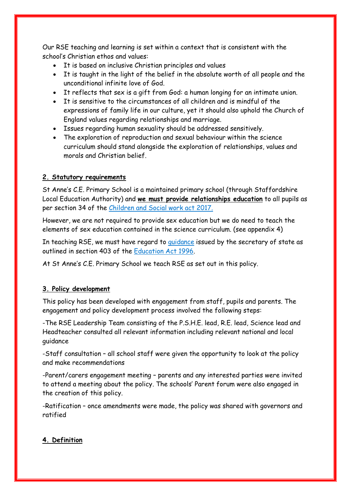Our RSE teaching and learning is set within a context that is consistent with the school's Christian ethos and values:

- It is based on inclusive Christian principles and values
- It is taught in the light of the belief in the absolute worth of all people and the unconditional infinite love of God.
- It reflects that sex is a gift from God: a human longing for an intimate union.
- It is sensitive to the circumstances of all children and is mindful of the expressions of family life in our culture, yet it should also uphold the Church of England values regarding relationships and marriage.
- Issues regarding human sexuality should be addressed sensitively.
- The exploration of reproduction and sexual behaviour within the science curriculum should stand alongside the exploration of relationships, values and morals and Christian belief.

#### **2. Statutory requirements**

St Anne's C.E. Primary School is a maintained primary school (through Staffordshire Local Education Authority) and **we must provide relationships education** to all pupils as per section 34 of the [Children and Social work act 2017.](http://www.legislation.gov.uk/ukpga/2017/16/section/34/enacted)

However, we are not required to provide sex education but we do need to teach the elements of sex education contained in the science curriculum. (see appendix 4)

In teaching RSE, we must have regard to *guidance* issued by the secretary of state as outlined in section 403 of the [Education Act 1996.](http://www.legislation.gov.uk/ukpga/1996/56/contents)

At St Anne's C.E. Primary School we teach RSE as set out in this policy.

#### **3. Policy development**

This policy has been developed with engagement from staff, pupils and parents. The engagement and policy development process involved the following steps:

-The RSE Leadership Team consisting of the P.S.H.E. lead, R.E. lead, Science lead and Headteacher consulted all relevant information including relevant national and local guidance

-Staff consultation – all school staff were given the opportunity to look at the policy and make recommendations

-Parent/carers engagement meeting – parents and any interested parties were invited to attend a meeting about the policy. The schools' Parent forum were also engaged in the creation of this policy.

-Ratification – once amendments were made, the policy was shared with governors and ratified

#### **4. Definition**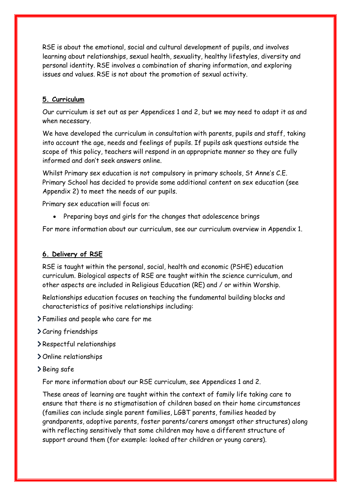RSE is about the emotional, social and cultural development of pupils, and involves learning about relationships, sexual health, sexuality, healthy lifestyles, diversity and personal identity. RSE involves a combination of sharing information, and exploring issues and values. RSE is not about the promotion of sexual activity.

#### **5. Curriculum**

Our curriculum is set out as per Appendices 1 and 2, but we may need to adapt it as and when necessary.

We have developed the curriculum in consultation with parents, pupils and staff, taking into account the age, needs and feelings of pupils. If pupils ask questions outside the scope of this policy, teachers will respond in an appropriate manner so they are fully informed and don't seek answers online.

Whilst Primary sex education is not compulsory in primary schools, St Anne's C.E. Primary School has decided to provide some additional content on sex education (see Appendix 2) to meet the needs of our pupils.

Primary sex education will focus on:

• Preparing boys and girls for the changes that adolescence brings

For more information about our curriculum, see our curriculum overview in Appendix 1.

#### **6. Delivery of RSE**

RSE is taught within the personal, social, health and economic (PSHE) education curriculum. Biological aspects of RSE are taught within the science curriculum, and other aspects are included in Religious Education (RE) and / or within Worship.

Relationships education focuses on teaching the fundamental building blocks and characteristics of positive relationships including:

- Families and people who care for me
- Caring friendships
- Respectful relationships
- > Online relationships
- Being safe

For more information about our RSE curriculum, see Appendices 1 and 2.

These areas of learning are taught within the context of family life taking care to ensure that there is no stigmatisation of children based on their home circumstances (families can include single parent families, LGBT parents, families headed by grandparents, adoptive parents, foster parents/carers amongst other structures) along with reflecting sensitively that some children may have a different structure of support around them (for example: looked after children or young carers).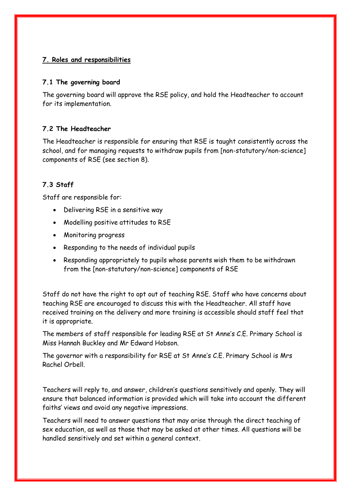#### **7. Roles and responsibilities**

#### **7.1 The governing board**

The governing board will approve the RSE policy, and hold the Headteacher to account for its implementation.

#### **7.2 The Headteacher**

The Headteacher is responsible for ensuring that RSE is taught consistently across the school, and for managing requests to withdraw pupils from [non-statutory/non-science] components of RSE (see section 8).

#### **7.3 Staff**

Staff are responsible for:

- Delivering RSE in a sensitive way
- Modelling positive attitudes to RSE
- Monitoring progress
- Responding to the needs of individual pupils
- Responding appropriately to pupils whose parents wish them to be withdrawn from the [non-statutory/non-science] components of RSE

Staff do not have the right to opt out of teaching RSE. Staff who have concerns about teaching RSE are encouraged to discuss this with the Headteacher. All staff have received training on the delivery and more training is accessible should staff feel that it is appropriate.

The members of staff responsible for leading RSE at St Anne's C.E. Primary School is Miss Hannah Buckley and Mr Edward Hobson.

The governor with a responsibility for RSE at St Anne's C.E. Primary School is Mrs Rachel Orbell.

Teachers will reply to, and answer, children's questions sensitively and openly. They will ensure that balanced information is provided which will take into account the different faiths' views and avoid any negative impressions.

Teachers will need to answer questions that may arise through the direct teaching of sex education, as well as those that may be asked at other times. All questions will be handled sensitively and set within a general context.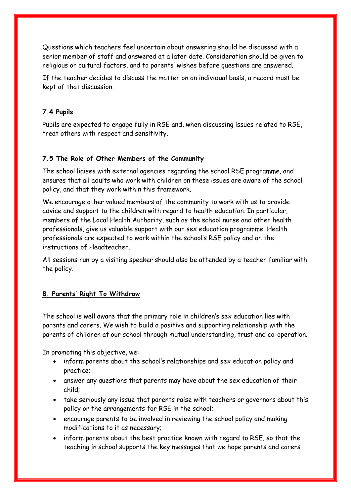Questions which teachers feel uncertain about answering should be discussed with a senior member of staff and answered at a later date. Consideration should be given to religious or cultural factors, and to parents' wishes before questions are answered.

If the teacher decides to discuss the matter on an individual basis, a record must be kept of that discussion.

#### **7.4 Pupils**

Pupils are expected to engage fully in RSE and, when discussing issues related to RSE, treat others with respect and sensitivity.

#### **7.5 The Role of Other Members of the Community**

The school liaises with external agencies regarding the school RSE programme, and ensures that all adults who work with children on these issues are aware of the school policy, and that they work within this framework.

We encourage other valued members of the community to work with us to provide advice and support to the children with regard to health education. In particular, members of the Local Health Authority, such as the school nurse and other health professionals, give us valuable support with our sex education programme. Health professionals are expected to work within the school's RSE policy and on the instructions of Headteacher.

All sessions run by a visiting speaker should also be attended by a teacher familiar with the policy.

### **8. Parents' Right To Withdraw**

The school is well aware that the primary role in children's sex education lies with parents and carers. We wish to build a positive and supporting relationship with the parents of children at our school through mutual understanding, trust and co-operation.

In promoting this objective, we:

- inform parents about the school's relationships and sex education policy and practice;
- answer any questions that parents may have about the sex education of their child;
- take seriously any issue that parents raise with teachers or governors about this policy or the arrangements for RSE in the school;
- encourage parents to be involved in reviewing the school policy and making modifications to it as necessary;
- inform parents about the best practice known with regard to RSE, so that the teaching in school supports the key messages that we hope parents and carers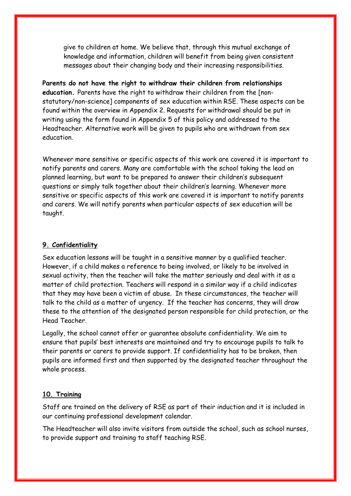give to children at home. We believe that, through this mutual exchange of knowledge and information, children will benefit from being given consistent messages about their changing body and their increasing responsibilities.

**Parents do not have the right to withdraw their children from relationships education.** Parents have the right to withdraw their children from the [nonstatutory/non-science] components of sex education within RSE. These aspects can be found within the overview in Appendix 2. Requests for withdrawal should be put in writing using the form found in Appendix 5 of this policy and addressed to the Headteacher. Alternative work will be given to pupils who are withdrawn from sex education.

Whenever more sensitive or specific aspects of this work are covered it is important to notify parents and carers. Many are comfortable with the school taking the lead on planned learning, but want to be prepared to answer their children's subsequent questions or simply talk together about their children's learning. Whenever more sensitive or specific aspects of this work are covered it is important to notify parents and carers. We will notify parents when particular aspects of sex education will be taught.

#### **9. Confidentiality**

Sex education lessons will be taught in a sensitive manner by a qualified teacher. However, if a child makes a reference to being involved, or likely to be involved in sexual activity, then the teacher will take the matter seriously and deal with it as a matter of child protection. Teachers will respond in a similar way if a child indicates that they may have been a victim of abuse. In these circumstances, the teacher will talk to the child as a matter of urgency. If the teacher has concerns, they will draw these to the attention of the designated person responsible for child protection, or the Head Teacher.

Legally, the school cannot offer or guarantee absolute confidentiality. We aim to ensure that pupils' best interests are maintained and try to encourage pupils to talk to their parents or carers to provide support. If confidentiality has to be broken, then pupils are informed first and then supported by the designated teacher throughout the whole process.

#### **10. Training**

Staff are trained on the delivery of RSE as part of their induction and it is included in our continuing professional development calendar.

The Headteacher will also invite visitors from outside the school, such as school nurses, to provide support and training to staff teaching RSE.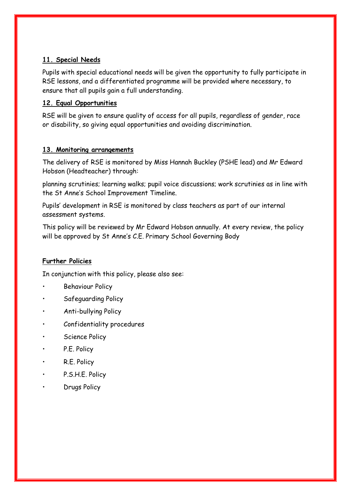#### **11. Special Needs**

Pupils with special educational needs will be given the opportunity to fully participate in RSE lessons, and a differentiated programme will be provided where necessary, to ensure that all pupils gain a full understanding.

#### **12. Equal Opportunities**

RSE will be given to ensure quality of access for all pupils, regardless of gender, race or disability, so giving equal opportunities and avoiding discrimination.

#### **13. Monitoring arrangements**

The delivery of RSE is monitored by Miss Hannah Buckley (PSHE lead) and Mr Edward Hobson (Headteacher) through:

planning scrutinies; learning walks; pupil voice discussions; work scrutinies as in line with the St Anne's School Improvement Timeline.

Pupils' development in RSE is monitored by class teachers as part of our internal assessment systems.

This policy will be reviewed by Mr Edward Hobson annually. At every review, the policy will be approved by St Anne's C.E. Primary School Governing Body

#### **Further Policies**

In conjunction with this policy, please also see:

- Behaviour Policy
- Safeguarding Policy
- Anti-bullying Policy
- Confidentiality procedures
- Science Policy
- P.E. Policy
- R.E. Policy
- P.S.H.E. Policy
- Drugs Policy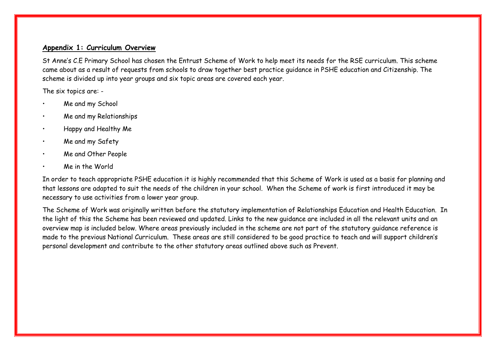#### **Appendix 1: Curriculum Overview**

St Anne's C.E Primary School has chosen the Entrust Scheme of Work to help meet its needs for the RSE curriculum. This scheme came about as a result of requests from schools to draw together best practice guidance in PSHE education and Citizenship. The scheme is divided up into year groups and six topic areas are covered each year.

The six topics are: -

- Me and my School
- Me and my Relationships
- Happy and Healthy Me
- Me and my Safety
- Me and Other People
- Me in the World

In order to teach appropriate PSHE education it is highly recommended that this Scheme of Work is used as a basis for planning and that lessons are adapted to suit the needs of the children in your school. When the Scheme of work is first introduced it may be necessary to use activities from a lower year group.

The Scheme of Work was originally written before the statutory implementation of Relationships Education and Health Education. In the light of this the Scheme has been reviewed and updated. Links to the new guidance are included in all the relevant units and an overview map is included below. Where areas previously included in the scheme are not part of the statutory guidance reference is made to the previous National Curriculum. These areas are still considered to be good practice to teach and will support children's personal development and contribute to the other statutory areas outlined above such as Prevent.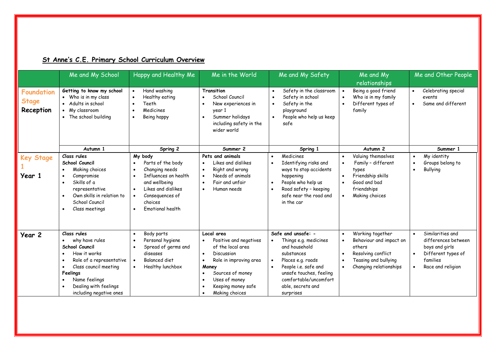|                                                | Me and My School                                                                                                                                                                                                                                                                    | Happy and Healthy Me                                                                                                                                                   | Me in the World                                                                                                                                                                                                                                               | Me and My Safety                                                                                                                                                                                              | Me and My<br>relationships                                                                                                    | Me and Other People                                                                                                                                     |
|------------------------------------------------|-------------------------------------------------------------------------------------------------------------------------------------------------------------------------------------------------------------------------------------------------------------------------------------|------------------------------------------------------------------------------------------------------------------------------------------------------------------------|---------------------------------------------------------------------------------------------------------------------------------------------------------------------------------------------------------------------------------------------------------------|---------------------------------------------------------------------------------------------------------------------------------------------------------------------------------------------------------------|-------------------------------------------------------------------------------------------------------------------------------|---------------------------------------------------------------------------------------------------------------------------------------------------------|
| <b>Foundation</b><br><b>Stage</b><br>Reception | Getting to know my school<br>• Who is in my class<br>• Adults in school<br>• My classroom<br>• The school building                                                                                                                                                                  | Hand washing<br>Healthy eating<br>$\bullet$<br>Teeth<br>Medicines<br>$\bullet$<br>Being happy<br>$\bullet$                                                             | Transition<br>School Council<br>New experiences in<br>year 1<br>Summer holidays<br>$\bullet$<br>including safety in the<br>wider world                                                                                                                        | Safety in the classroom<br>Safety in school<br>Safety in the<br>playground<br>People who help us keep<br>safe                                                                                                 | Being a good friend<br>Who is in my family<br>Different types of<br>family                                                    | Celebrating special<br>$\bullet$<br>events<br>Same and different<br>$\bullet$                                                                           |
|                                                | Autumn 1                                                                                                                                                                                                                                                                            | Spring 2                                                                                                                                                               | Summer 2                                                                                                                                                                                                                                                      | Spring 1                                                                                                                                                                                                      | Autumn <sub>2</sub>                                                                                                           | Summer 1                                                                                                                                                |
| <b>Key Stage</b><br>Year 1                     | Class rules<br>School Council<br>Making choices<br>$\bullet$<br>Compromise<br>$\bullet$<br>Skills of a<br>$\bullet$<br>representative<br>Own skills in relation to<br>$\bullet$<br>School Council<br>Class meetings                                                                 | My body<br>Parts of the body<br>Changing needs<br>Influences on health<br>and wellbeing<br>Likes and dislikes<br>Consequences of<br>choices<br><b>Emotional health</b> | Pets and animals<br>Likes and dislikes<br>$\bullet$<br>Right and wrong<br>$\bullet$<br>Needs of animals<br>$\bullet$<br>Fair and unfair<br>$\bullet$<br>Human needs<br>$\bullet$                                                                              | Medicines<br>Identifying risks and<br>ways to stop accidents<br>happening<br>People who help us<br>Road safety - keeping<br>safe near the road and<br>in the car                                              | Valuing themselves<br>Family - different<br>types<br>Friendship skills<br>Good and bad<br>friendships<br>Making choices       | My identity<br>$\bullet$<br>Groups belong to<br>$\bullet$<br>Bullying<br>$\bullet$                                                                      |
| Year 2                                         | Class rules<br>why have rules<br>$\bullet$<br>School Council<br>How it works<br>$\bullet$<br>Role of a representative<br>$\bullet$<br>Class council meeting<br>$\bullet$<br>Feelings<br>Name feelings<br>$\bullet$<br>Dealing with feelings<br>$\bullet$<br>including negative ones | Body parts<br>Personal hygiene<br>Spread of germs and<br>diseases<br><b>Balanced diet</b><br>Healthy lunchbox                                                          | Local area<br>Positive and negatives<br>٠<br>of the local area<br>Discussion<br>$\bullet$<br>Role in improving area<br>$\bullet$<br>Money<br>Sources of money<br>$\bullet$<br>Uses of money<br>$\bullet$<br>Keeping money safe<br>Making choices<br>$\bullet$ | Safe and unsafe: -<br>Things e.g. medicines<br>and household<br>substances<br>Places e.g. roads<br>People i.e. safe and<br>unsafe touches, feeling<br>comfortable/uncomfort<br>able, secrets and<br>surprises | Working together<br>Behaviour and impact on<br>others<br>Resolving conflict<br>Teasing and bullying<br>Changing relationships | Similarities and<br>$\bullet$<br>differences between<br>boys and girls<br>Different types of<br>$\bullet$<br>families<br>Race and religion<br>$\bullet$ |

## **St Anne's C.E. Primary School Curriculum Overview**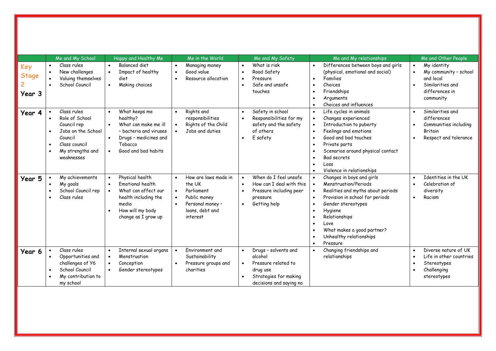|              |           | Me and My School   |           | Happy and Healthy Me    |           | Me in the World      |           | Me and My Safety         |           | Me and My relationships            |           | Me and Other People     |
|--------------|-----------|--------------------|-----------|-------------------------|-----------|----------------------|-----------|--------------------------|-----------|------------------------------------|-----------|-------------------------|
| Key          | $\bullet$ | Class rules        |           | <b>Balanced diet</b>    |           | Managing money       | $\bullet$ | What is risk             | $\bullet$ | Differences between boys and girls | $\bullet$ | My identity             |
| <b>Stage</b> | $\bullet$ | New challenges     | $\bullet$ | Impact of healthy       | $\bullet$ | Good value           | $\bullet$ | Road Safety              |           | (physical, emotional and social)   | $\bullet$ | My community - school   |
|              | $\bullet$ | Valuing themselves |           | diet                    |           | Resource allocation  | $\bullet$ | Pressure                 | $\bullet$ | Families                           |           | and local               |
|              | $\bullet$ | School Council     | $\bullet$ | Making choices          |           |                      | $\bullet$ | Safe and unsafe          | $\bullet$ | Choices                            | $\bullet$ | Similarities and        |
| Year 3       |           |                    |           |                         |           |                      |           | touches                  | $\bullet$ | Friendships                        |           | differences in          |
|              |           |                    |           |                         |           |                      |           |                          | $\bullet$ | Arguments                          |           | community               |
|              |           |                    |           |                         |           |                      |           |                          | $\bullet$ | Choices and influences             |           |                         |
| Year 4       |           | Class rules        | $\bullet$ | What keeps me           |           | Rights and           | $\bullet$ | Safety in school         | $\bullet$ | Life cycles in animals             | $\bullet$ | Similarities and        |
|              |           | Role of School     |           | healthy?                |           | responsibilities     | $\bullet$ | Responsibilities for my  | $\bullet$ | Changes experienced                |           | differences             |
|              |           | Council rep        |           | What can make me ill    |           | Rights of the Child  |           | safety and the safety    | $\bullet$ | Introduction to puberty            |           | Communities including   |
|              | $\bullet$ | Jobs on the School |           | - bacteria and viruses  |           | Jobs and duties      |           | of others                | $\bullet$ | Feelings and emotions              |           | <b>Britain</b>          |
|              | Council   |                    |           | Drugs - medicines and   |           |                      | $\bullet$ | E safety                 | $\bullet$ | Good and bad touches               | $\bullet$ | Respect and tolerance   |
|              | $\bullet$ | Class council      |           | Tobacco                 |           |                      |           |                          | $\bullet$ | Private parts                      |           |                         |
|              | $\bullet$ | My strengths and   |           | Good and bad habits     |           |                      |           |                          | $\bullet$ | Scenarios around physical contact  |           |                         |
|              |           | weaknesses         |           |                         |           |                      |           |                          |           | Bad secrets                        |           |                         |
|              |           |                    |           |                         |           |                      |           |                          | $\bullet$ | Loss                               |           |                         |
|              |           |                    |           |                         |           |                      |           |                          | $\bullet$ | Violence in relationships          |           |                         |
| Year 5       |           | My achievements    |           | Physical health         |           | How are laws made in | $\bullet$ | When do I feel unsafe    | $\bullet$ | Changes in boys and girls          | $\bullet$ | Identities in the UK    |
|              |           | My goals           |           | <b>Fmotional health</b> |           | the UK               | $\bullet$ | How can I deal with this | $\bullet$ | Menstrugtion/Periods               | $\bullet$ | Celebration of          |
|              | $\bullet$ | School Council rep |           | What can affect our     |           | Parliament           | $\bullet$ | Pressure including peer  | $\bullet$ | Realities and myths about periods  |           | diversity               |
|              | $\bullet$ | Class rules        |           | health including the    |           | Public money         |           | pressure                 | $\bullet$ | Provision in school for periods    | $\bullet$ | Racism                  |
|              |           |                    |           | media                   |           | Personal money -     | $\bullet$ | Getting help             | $\bullet$ | Gender stereotypes                 |           |                         |
|              |           |                    |           | How will my body        |           | loans, debt and      |           |                          | $\bullet$ | Hygiene                            |           |                         |
|              |           |                    |           | change as I grow up     |           | interest             |           |                          | $\bullet$ | Relationships                      |           |                         |
|              |           |                    |           |                         |           |                      |           |                          | $\bullet$ | Love                               |           |                         |
|              |           |                    |           |                         |           |                      |           |                          | $\bullet$ | What makes a good partner?         |           |                         |
|              |           |                    |           |                         |           |                      |           |                          | $\bullet$ | Unhealthy relationships            |           |                         |
|              |           |                    |           |                         |           |                      |           |                          | $\bullet$ | Pressure                           |           |                         |
| Year 6       |           | Class rules        |           | Internal sexual organs  |           | Environment and      | $\bullet$ | Drugs - solvents and     | $\bullet$ | Changing friendships and           | $\bullet$ | Diverse nature of UK    |
|              |           | Opportunities and  |           | Menstruation            |           | Sustainability       |           | alcohol                  |           | relationships                      | $\bullet$ | Life in other countries |
|              |           | challenges of Y6   |           | Conception              |           | Pressure groups and  | $\bullet$ | Pressure related to      |           |                                    | $\bullet$ | Stereotypes             |
|              |           | School Council     |           | Gender stereotypes      |           | charities            |           | drug use                 |           |                                    | $\bullet$ | Challenging             |
|              |           | My contribution to |           |                         |           |                      |           | Strategies for making    |           |                                    |           | stereotypes             |
|              |           | my school          |           |                         |           |                      |           | decisions and saying no  |           |                                    |           |                         |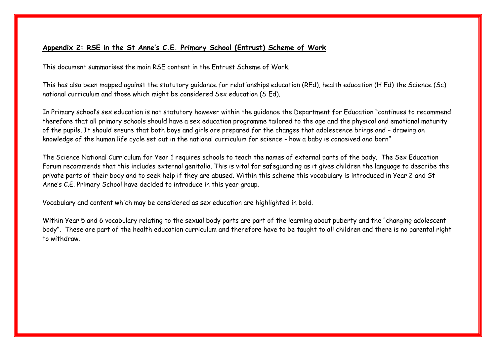#### **Appendix 2: RSE in the St Anne's C.E. Primary School (Entrust) Scheme of Work**

This document summarises the main RSE content in the Entrust Scheme of Work.

This has also been mapped against the statutory guidance for relationships education (REd), health education (H Ed) the Science (Sc) national curriculum and those which might be considered Sex education (S Ed).

In Primary school's sex education is not statutory however within the guidance the Department for Education "continues to recommend therefore that all primary schools should have a sex education programme tailored to the age and the physical and emotional maturity of the pupils. It should ensure that both boys and girls are prepared for the changes that adolescence brings and – drawing on knowledge of the human life cycle set out in the national curriculum for science - how a baby is conceived and born"

The Science National Curriculum for Year 1 requires schools to teach the names of external parts of the body. The Sex Education Forum recommends that this includes external genitalia. This is vital for safeguarding as it gives children the language to describe the private parts of their body and to seek help if they are abused. Within this scheme this vocabulary is introduced in Year 2 and St Anne's C.E. Primary School have decided to introduce in this year group.

Vocabulary and content which may be considered as sex education are highlighted in bold.

Within Year 5 and 6 vocabulary relating to the sexual body parts are part of the learning about puberty and the "changing adolescent body". These are part of the health education curriculum and therefore have to be taught to all children and there is no parental right to withdraw.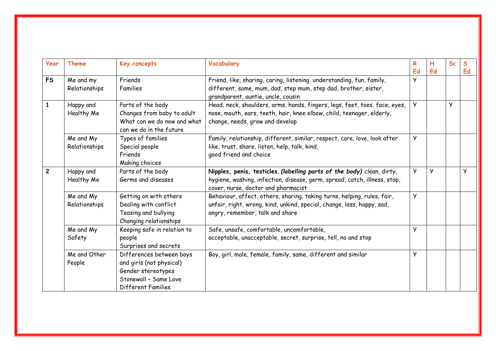| Year           | <b>Theme</b>               | Key concepts                                                                                                              | Vocabulary                                                                                                                                                                                 | R        | н  | <b>Sc</b> | $\mathsf{s}$ |
|----------------|----------------------------|---------------------------------------------------------------------------------------------------------------------------|--------------------------------------------------------------------------------------------------------------------------------------------------------------------------------------------|----------|----|-----------|--------------|
|                |                            |                                                                                                                           |                                                                                                                                                                                            | Ed       | Ed |           | Ed           |
| <b>FS</b>      | Me and my<br>Relationships | Friends<br>Families                                                                                                       | Friend, like, sharing, caring, listening, understanding, fun, family,<br>different, same, mum, dad, step mum, step dad, brother, sister,<br>grandparent, auntie, uncle, cousin             | У        |    |           |              |
|                | Happy and<br>Healthy Me    | Parts of the body<br>Changes from baby to adult<br>What can we do now and what<br>can we do in the future                 | Head, neck, shoulders, arms, hands, fingers, legs, feet, toes, face, eyes,<br>nose, mouth, ears, teeth, hair, knee elbow, child, teenager, elderly,<br>change, needs, grow and develop     | У        |    | У         |              |
|                | Me and My<br>Relationships | Types of families<br>Special people<br>Friends<br>Making choices                                                          | Family, relationship, different, similar, respect, care, love, look after<br>like, trust, share, listen, help, talk, kind,<br>good friend and choice                                       | У        |    |           |              |
| $\overline{c}$ | Happy and<br>Healthy Me    | Parts of the body<br>Germs and diseases                                                                                   | Nipples, penis, testicles, (labelling parts of the body) clean, dirty,<br>hygiene, washing, infection, disease, germ, spread, catch, illness, stop,<br>cover, nurse, doctor and pharmacist | <b>y</b> | y  |           | y            |
|                | Me and My<br>Relationships | Getting on with others<br>Dealing with conflict<br>Teasing and bullying<br>Changing relationships                         | Behaviour, affect, others, sharing, taking turns, helping, rules, fair,<br>unfair, right, wrong, kind, unkind, special, change, loss, happy, sad,<br>angry, remember, talk and share       | У        |    |           |              |
|                | Me and My<br>Safety        | Keeping safe in relation to<br>people<br>Surprises and secrets                                                            | Safe, unsafe, comfortable, uncomfortable,<br>acceptable, unacceptable, secret, surprise, tell, no and stop                                                                                 | У        |    |           |              |
|                | Me and Other<br>People     | Differences between boys<br>and girls (not physical)<br>Gender stereotypes<br>Stonewall - Same Love<br>Different Families | Boy, girl, male, female, family, same, different and similar                                                                                                                               | y        |    |           |              |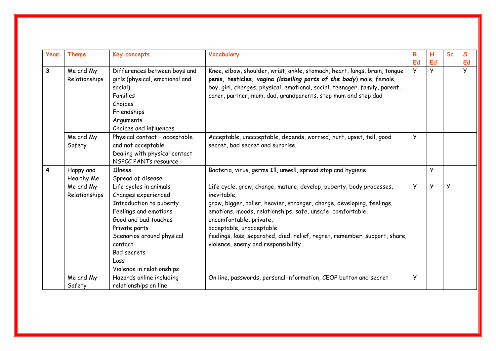| Year         | <b>Theme</b>               | Key concepts                                                                                                                                                                                                                                  | Vocabulary                                                                                                                                                                                                                                                                                                                                                                                            | R        | н      | <b>Sc</b> | S      |
|--------------|----------------------------|-----------------------------------------------------------------------------------------------------------------------------------------------------------------------------------------------------------------------------------------------|-------------------------------------------------------------------------------------------------------------------------------------------------------------------------------------------------------------------------------------------------------------------------------------------------------------------------------------------------------------------------------------------------------|----------|--------|-----------|--------|
|              |                            |                                                                                                                                                                                                                                               |                                                                                                                                                                                                                                                                                                                                                                                                       | Ed       | Ed     |           | Ed     |
| $\mathbf{3}$ | Me and My<br>Relationships | Differences between boys and<br>girls (physical, emotional and<br>social)<br>Families<br>Choices<br>Friendships<br>Arguments<br>Choices and influences                                                                                        | Knee, elbow, shoulder, wrist, ankle, stomach, heart, lungs, brain, tongue<br>penis, testicles, vagina (labelling parts of the body) male, female,<br>boy, girl, changes, physical, emotional, social, teenager, family, parent,<br>carer, partner, mum, dad, grandparents, step mum and step dad                                                                                                      | <b>y</b> | $\vee$ |           | $\vee$ |
|              | Me and My<br>Safety        | Physical contact - acceptable<br>and not acceptable<br>Dealing with physical contact<br>NSPCC PANTs resource                                                                                                                                  | Acceptable, unacceptable, depends, worried, hurt, upset, tell, good<br>secret, bad secret and surprise,                                                                                                                                                                                                                                                                                               | У        |        |           |        |
| 4            | Happy and<br>Healthy Me    | Illness<br>Spread of disease                                                                                                                                                                                                                  | Bacteria, virus, germs III, unwell, spread stop and hygiene                                                                                                                                                                                                                                                                                                                                           |          | y      |           |        |
|              | Me and My<br>Relationships | Life cycles in animals<br>Changes experienced<br>Introduction to puberty<br>Feelings and emotions<br>Good and bad touches<br>Private parts<br>Scenarios around physical<br>contact<br><b>Bad secrets</b><br>Loss<br>Violence in relationships | Life cycle, grow, change, mature, develop, puberty, body processes,<br>inevitable,<br>grow, bigger, taller, heavier, stronger, change, developing, feelings,<br>emotions, moods, relationships, safe, unsafe, comfortable,<br>uncomfortable, private,<br>acceptable, unacceptable<br>feelings, loss, separated, died, relief, regret, remember, support, share,<br>violence, enemy and responsibility | y        | Ÿ      | У         |        |
|              | Me and My<br>Safety        | Hazards online including<br>relationships on line                                                                                                                                                                                             | On line, passwords, personal information, CEOP button and secret                                                                                                                                                                                                                                                                                                                                      | y        |        |           |        |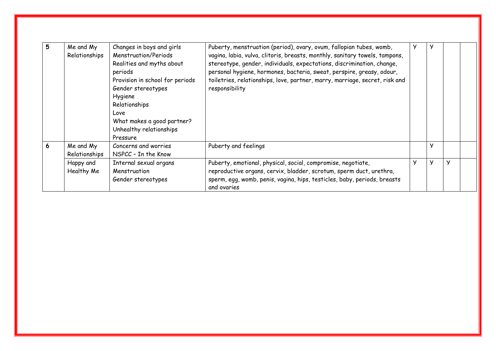| 5 | Me and My<br>Relationships | Changes in boys and girls<br>Menstruation/Periods<br>Realities and myths about<br>periods<br>Provision in school for periods<br>Gender stereotypes<br>Hygiene<br>Relationships<br>Love<br>What makes a good partner?<br>Unhealthy relationships<br>Pressure | Puberty, menstruation (period), ovary, ovum, fallopian tubes, womb,<br>vagina, labia, vulva, clitoris, breasts, monthly, sanitary towels, tampons,<br>stereotype, gender, individuals, expectations, discrimination, change,<br>personal hygiene, hormones, bacteria, sweat, perspire, greasy, odour,<br>toiletries, relationships, love, partner, marry, marriage, secret, risk and<br>responsibility | У |   |   |  |
|---|----------------------------|-------------------------------------------------------------------------------------------------------------------------------------------------------------------------------------------------------------------------------------------------------------|--------------------------------------------------------------------------------------------------------------------------------------------------------------------------------------------------------------------------------------------------------------------------------------------------------------------------------------------------------------------------------------------------------|---|---|---|--|
| 6 | Me and My<br>Relationships | Concerns and worries<br>NSPCC - In the Know                                                                                                                                                                                                                 | Puberty and feelings                                                                                                                                                                                                                                                                                                                                                                                   |   | y |   |  |
|   | Happy and<br>Healthy Me    | Internal sexual organs<br>Menstruation<br>Gender stereotypes                                                                                                                                                                                                | Puberty, emotional, physical, social, compromise, negotiate,<br>reproductive organs, cervix, bladder, scrotum, sperm duct, urethra,<br>sperm, egg, womb, penis, vagina, hips, testicles, baby, periods, breasts<br>and ovaries                                                                                                                                                                         | У | У | У |  |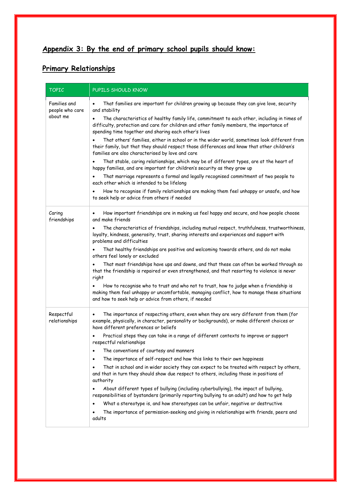# **Appendix 3: By the end of primary school pupils should know:**

# **Primary Relationships**

| <b>TOPIC</b>                    | PUPILS SHOULD KNOW                                                                                                                                                                                                                                          |  |  |  |  |
|---------------------------------|-------------------------------------------------------------------------------------------------------------------------------------------------------------------------------------------------------------------------------------------------------------|--|--|--|--|
| Families and<br>people who care | That families are important for children growing up because they can give love, security<br>and stability                                                                                                                                                   |  |  |  |  |
| about me                        | The characteristics of healthy family life, commitment to each other, including in times of<br>difficulty, protection and care for children and other family members, the importance of<br>spending time together and sharing each other's lives            |  |  |  |  |
|                                 | That others' families, either in school or in the wider world, sometimes look different from<br>their family, but that they should respect those differences and know that other children's<br>families are also characterised by love and care             |  |  |  |  |
|                                 | That stable, caring relationships, which may be of different types, are at the heart of<br>happy families, and are important for children's security as they grow up                                                                                        |  |  |  |  |
|                                 | That marriage represents a formal and legally recognised commitment of two people to<br>$\bullet$<br>each other which is intended to be lifelong                                                                                                            |  |  |  |  |
|                                 | How to recognise if family relationships are making them feel unhappy or unsafe, and how<br>$\bullet$<br>to seek help or advice from others if needed                                                                                                       |  |  |  |  |
| Caring<br>friendships           | How important friendships are in making us feel happy and secure, and how people choose<br>and make friends                                                                                                                                                 |  |  |  |  |
|                                 | The characteristics of friendships, including mutual respect, truthfulness, trustworthiness,<br>loyalty, kindness, generosity, trust, sharing interests and experiences and support with<br>problems and difficulties                                       |  |  |  |  |
|                                 | That healthy friendships are positive and welcoming towards others, and do not make<br>others feel lonely or excluded                                                                                                                                       |  |  |  |  |
|                                 | That most friendships have ups and downs, and that these can often be worked through so<br>that the friendship is repaired or even strengthened, and that resorting to violence is never<br>right                                                           |  |  |  |  |
|                                 | How to recognise who to trust and who not to trust, how to judge when a friendship is<br>$\bullet$<br>making them feel unhappy or uncomfortable, managing conflict, how to manage these situations<br>and how to seek help or advice from others, if needed |  |  |  |  |
| Respectful<br>relationships     | The importance of respecting others, even when they are very different from them (for<br>$\bullet$<br>example, physically, in character, personality or backgrounds), or make different choices or<br>have different preferences or beliefs                 |  |  |  |  |
|                                 | Practical steps they can take in a range of different contexts to improve or support<br>respectful relationships                                                                                                                                            |  |  |  |  |
|                                 | The conventions of courtesy and manners<br>$\bullet$                                                                                                                                                                                                        |  |  |  |  |
|                                 | The importance of self-respect and how this links to their own happiness<br>٠                                                                                                                                                                               |  |  |  |  |
|                                 | That in school and in wider society they can expect to be treated with respect by others,<br>٠<br>and that in turn they should show due respect to others, including those in positions of<br>authority                                                     |  |  |  |  |
|                                 | About different types of bullying (including cyberbullying), the impact of bullying,<br>$\bullet$<br>responsibilities of bystanders (primarily reporting bullying to an adult) and how to get help                                                          |  |  |  |  |
|                                 | What a stereotype is, and how stereotypes can be unfair, negative or destructive                                                                                                                                                                            |  |  |  |  |
|                                 | The importance of permission-seeking and giving in relationships with friends, peers and<br>adults                                                                                                                                                          |  |  |  |  |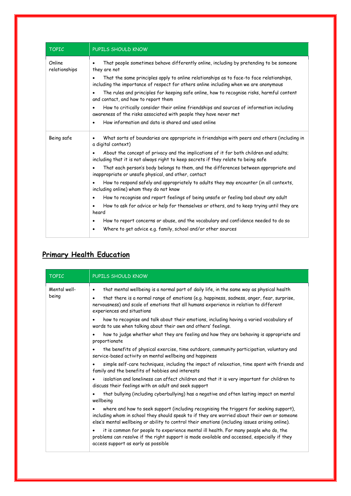| <b>TOPIC</b>            | PUPILS SHOULD KNOW                                                                                                                                                                |
|-------------------------|-----------------------------------------------------------------------------------------------------------------------------------------------------------------------------------|
| Online<br>relationships | That people sometimes behave differently online, including by pretending to be someone<br>٠<br>they are not                                                                       |
|                         | That the same principles apply to online relationships as to face-to face relationships,<br>including the importance of respect for others online including when we are anonymous |
|                         | The rules and principles for keeping safe online, how to recognise risks, harmful content<br>and contact, and how to report them                                                  |
|                         | How to critically consider their online friendships and sources of information including<br>awareness of the risks associated with people they have never met                     |
|                         | How information and data is shared and used online<br>$\bullet$                                                                                                                   |
| Being safe              | What sorts of boundaries are appropriate in friendships with peers and others (including in<br>$\bullet$<br>a digital context)                                                    |
|                         | About the concept of privacy and the implications of it for both children and adults;<br>including that it is not always right to keep secrets if they relate to being safe       |
|                         | That each person's body belongs to them, and the differences between appropriate and<br>inappropriate or unsafe physical, and other, contact                                      |
|                         | How to respond safely and appropriately to adults they may encounter (in all contexts,<br>including online) whom they do not know                                                 |
|                         | How to recognise and report feelings of being unsafe or feeling bad about any adult<br>$\bullet$                                                                                  |
|                         | How to ask for advice or help for themselves or others, and to keep trying until they are<br>heard                                                                                |
|                         | How to report concerns or abuse, and the vocabulary and confidence needed to do so<br>٠                                                                                           |
|                         | Where to get advice e.g. family, school and/or other sources<br>٠                                                                                                                 |

# **Primary Health Education**

| <b>TOPIC</b>          | PUPILS SHOULD KNOW                                                                                                                                                                                                                                                                                                              |
|-----------------------|---------------------------------------------------------------------------------------------------------------------------------------------------------------------------------------------------------------------------------------------------------------------------------------------------------------------------------|
| Mental well-<br>being | that mental wellbeing is a normal part of daily life, in the same way as physical health<br>٠<br>that there is a normal range of emotions (e.g. happiness, sadness, anger, fear, surprise,<br>$\bullet$<br>nervousness) and scale of emotions that all humans experience in relation to different<br>experiences and situations |
|                       | how to recognise and talk about their emotions, including having a varied vocabulary of<br>$\bullet$<br>words to use when talking about their own and others' feelings.                                                                                                                                                         |
|                       | how to judge whether what they are feeling and how they are behaving is appropriate and<br>$\bullet$<br>proportionate                                                                                                                                                                                                           |
|                       | the benefits of physical exercise, time outdoors, community participation, voluntary and<br>service-based activity on mental wellbeing and happiness                                                                                                                                                                            |
|                       | simple self-care techniques, including the impact of relaxation, time spent with friends and<br>family and the benefits of hobbies and interests                                                                                                                                                                                |
|                       | isolation and loneliness can affect children and that it is very important for children to<br>discuss their feelings with an adult and seek support                                                                                                                                                                             |
|                       | that bullying (including cyberbullying) has a negative and often lasting impact on mental<br>wellbeing                                                                                                                                                                                                                          |
|                       | where and how to seek support (including recognising the triggers for seeking support),<br>including whom in school they should speak to if they are worried about their own or someone<br>else's mental wellbeing or ability to control their emotions (including issues arising online).                                      |
|                       | it is common for people to experience mental ill health. For many people who do, the<br>problems can resolve if the right support is made available and accessed, especially if they<br>access support as early as possible                                                                                                     |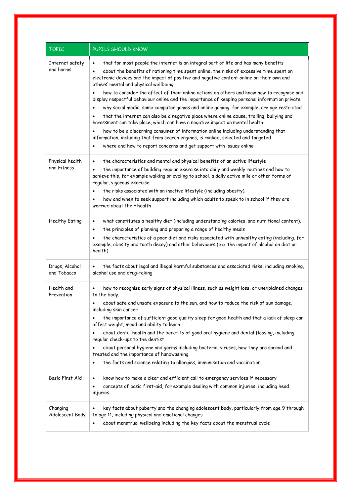| <b>TOPIC</b>                   | PUPILS SHOULD KNOW                                                                                                                                                                                                                                                                                                                                                                                                                                                                                                                                                                                                                                                                                                                                                                                                                                                                                                                                                                                                                                                                                   |
|--------------------------------|------------------------------------------------------------------------------------------------------------------------------------------------------------------------------------------------------------------------------------------------------------------------------------------------------------------------------------------------------------------------------------------------------------------------------------------------------------------------------------------------------------------------------------------------------------------------------------------------------------------------------------------------------------------------------------------------------------------------------------------------------------------------------------------------------------------------------------------------------------------------------------------------------------------------------------------------------------------------------------------------------------------------------------------------------------------------------------------------------|
| Internet safety<br>and harms   | that for most people the internet is an integral part of life and has many benefits<br>$\bullet$<br>about the benefits of rationing time spent online, the risks of excessive time spent on<br>$\bullet$<br>electronic devices and the impact of positive and negative content online on their own and<br>others' mental and physical wellbeing<br>how to consider the effect of their online actions on others and know how to recognise and<br>display respectful behaviour online and the importance of keeping personal information private<br>why social media, some computer games and online gaming, for example, are age restricted<br>$\bullet$<br>that the internet can also be a negative place where online abuse, trolling, bullying and<br>harassment can take place, which can have a negative impact on mental health<br>how to be a discerning consumer of information online including understanding that<br>information, including that from search engines, is ranked, selected and targeted<br>where and how to report concerns and get support with issues online<br>$\bullet$ |
| Physical health<br>and Fitness | the characteristics and mental and physical benefits of an active lifestyle<br>$\bullet$<br>the importance of building regular exercise into daily and weekly routines and how to<br>$\bullet$<br>achieve this, for example walking or cycling to school, a daily active mile or other forms of<br>regular, vigorous exercise.<br>the risks associated with an inactive lifestyle (including obesity).<br>how and when to seek support including which adults to speak to in school if they are<br>worried about their health                                                                                                                                                                                                                                                                                                                                                                                                                                                                                                                                                                        |
| <b>Healthy Eating</b>          | what constitutes a healthy diet (including understanding calories, and nutritional content).<br>$\bullet$<br>the principles of planning and preparing a range of healthy meals<br>$\bullet$<br>the characteristics of a poor diet and risks associated with unhealthy eating (including, for<br>example, obesity and tooth decay) and other behaviours (e.g. the impact of alcohol on diet or<br>health)                                                                                                                                                                                                                                                                                                                                                                                                                                                                                                                                                                                                                                                                                             |
| Drugs, Alcohol<br>and Tobacco  | the facts about legal and illegal harmful substances and associated risks, including smoking,<br>$\bullet$<br>alcohol use and drug-taking                                                                                                                                                                                                                                                                                                                                                                                                                                                                                                                                                                                                                                                                                                                                                                                                                                                                                                                                                            |
| Health and<br>Prevention       | how to recognise early signs of physical illness, such as weight loss, or unexplained changes<br>to the body.<br>about safe and unsafe exposure to the sun, and how to reduce the risk of sun damage,<br>$\bullet$<br>including skin cancer<br>the importance of sufficient good quality sleep for good health and that a lack of sleep can<br>affect weight, mood and ability to learn<br>about dental health and the benefits of good oral hygiene and dental flossing, including<br>regular check-ups to the dentist<br>about personal hygiene and germs including bacteria, viruses, how they are spread and<br>treated and the importance of handwashing<br>the facts and science relating to allergies, immunisation and vaccination<br>$\bullet$                                                                                                                                                                                                                                                                                                                                              |
| Basic First Aid                | know how to make a clear and efficient call to emergency services if necessary<br>$\bullet$<br>concepts of basic first-aid, for example dealing with common injuries, including head<br>injuries                                                                                                                                                                                                                                                                                                                                                                                                                                                                                                                                                                                                                                                                                                                                                                                                                                                                                                     |
| Changing<br>Adolescent Body    | key facts about puberty and the changing adolescent body, particularly from age 9 through<br>to age 11, including physical and emotional changes<br>about menstrual wellbeing including the key facts about the menstrual cycle<br>$\bullet$                                                                                                                                                                                                                                                                                                                                                                                                                                                                                                                                                                                                                                                                                                                                                                                                                                                         |